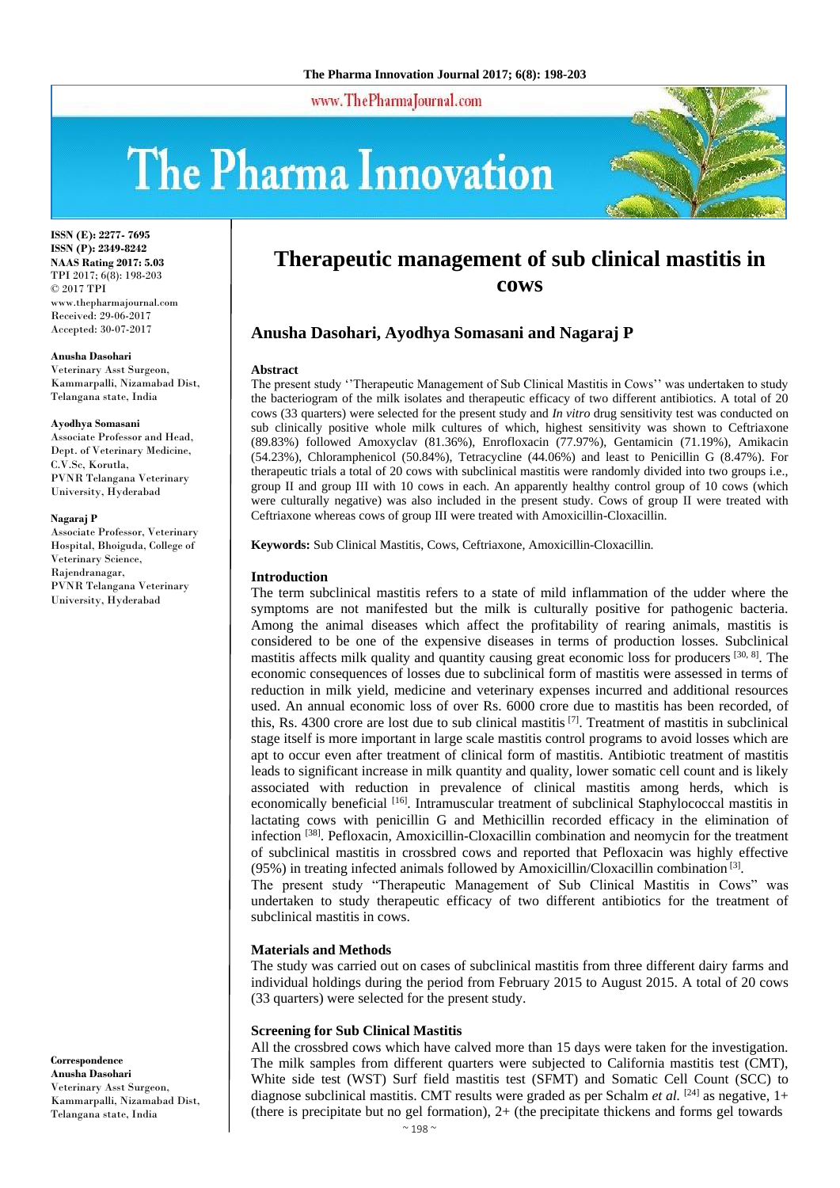www.ThePharmaJournal.com

# The Pharma Innovation



**ISSN (E): 2277- 7695 ISSN (P): 2349-8242 NAAS Rating 2017: 5.03** TPI 2017; 6(8): 198-203 © 2017 TPI www.thepharmajournal.com Received: 29-06-2017 Accepted: 30-07-2017

#### **Anusha Dasohari**

Veterinary Asst Surgeon, Kammarpalli, Nizamabad Dist, Telangana state, India

#### **Ayodhya Somasani**

Associate Professor and Head, Dept. of Veterinary Medicine, C.V.Sc, Korutla, PVNR Telangana Veterinary University, Hyderabad

#### **Nagaraj P**

Associate Professor, Veterinary Hospital, Bhoiguda, College of Veterinary Science, Rajendranagar, PVNR Telangana Veterinary University, Hyderabad

**Correspondence Anusha Dasohari** Veterinary Asst Surgeon, Kammarpalli, Nizamabad Dist, Telangana state, India

# **Therapeutic management of sub clinical mastitis in cows**

# **Anusha Dasohari, Ayodhya Somasani and Nagaraj P**

#### **Abstract**

The present study ''Therapeutic Management of Sub Clinical Mastitis in Cows'' was undertaken to study the bacteriogram of the milk isolates and therapeutic efficacy of two different antibiotics. A total of 20 cows (33 quarters) were selected for the present study and *In vitro* drug sensitivity test was conducted on sub clinically positive whole milk cultures of which, highest sensitivity was shown to Ceftriaxone (89.83%) followed Amoxyclav (81.36%), Enrofloxacin (77.97%), Gentamicin (71.19%), Amikacin (54.23%), Chloramphenicol (50.84%), Tetracycline (44.06%) and least to Penicillin G (8.47%). For therapeutic trials a total of 20 cows with subclinical mastitis were randomly divided into two groups i.e., group II and group III with 10 cows in each. An apparently healthy control group of 10 cows (which were culturally negative) was also included in the present study. Cows of group II were treated with Ceftriaxone whereas cows of group III were treated with Amoxicillin-Cloxacillin.

**Keywords:** Sub Clinical Mastitis, Cows, Ceftriaxone, Amoxicillin-Cloxacillin.

#### **Introduction**

The term subclinical mastitis refers to a state of mild inflammation of the udder where the symptoms are not manifested but the milk is culturally positive for pathogenic bacteria. Among the animal diseases which affect the profitability of rearing animals, mastitis is considered to be one of the expensive diseases in terms of production losses. Subclinical mastitis affects milk quality and quantity causing great economic loss for producers  $[30, 8]$ . The economic consequences of losses due to subclinical form of mastitis were assessed in terms of reduction in milk yield, medicine and veterinary expenses incurred and additional resources used. An annual economic loss of over Rs. 6000 crore due to mastitis has been recorded, of this, Rs. 4300 crore are lost due to sub clinical mastitis <sup>[7]</sup>. Treatment of mastitis in subclinical stage itself is more important in large scale mastitis control programs to avoid losses which are apt to occur even after treatment of clinical form of mastitis. Antibiotic treatment of mastitis leads to significant increase in milk quantity and quality, lower somatic cell count and is likely associated with reduction in prevalence of clinical mastitis among herds, which is economically beneficial [16]. Intramuscular treatment of subclinical Staphylococcal mastitis in lactating cows with penicillin G and Methicillin recorded efficacy in the elimination of infection<sup>[38]</sup>. Pefloxacin, Amoxicillin-Cloxacillin combination and neomycin for the treatment of subclinical mastitis in crossbred cows and reported that Pefloxacin was highly effective (95%) in treating infected animals followed by Amoxicillin/Cloxacillin combination [3] .

The present study "Therapeutic Management of Sub Clinical Mastitis in Cows" was undertaken to study therapeutic efficacy of two different antibiotics for the treatment of subclinical mastitis in cows.

#### **Materials and Methods**

The study was carried out on cases of subclinical mastitis from three different dairy farms and individual holdings during the period from February 2015 to August 2015. A total of 20 cows (33 quarters) were selected for the present study.

#### **Screening for Sub Clinical Mastitis**

All the crossbred cows which have calved more than 15 days were taken for the investigation. The milk samples from different quarters were subjected to California mastitis test (CMT), White side test (WST) Surf field mastitis test (SFMT) and Somatic Cell Count (SCC) to diagnose subclinical mastitis. CMT results were graded as per Schalm *et al.* [24] as negative, 1+ (there is precipitate but no gel formation),  $2+$  (the precipitate thickens and forms gel towards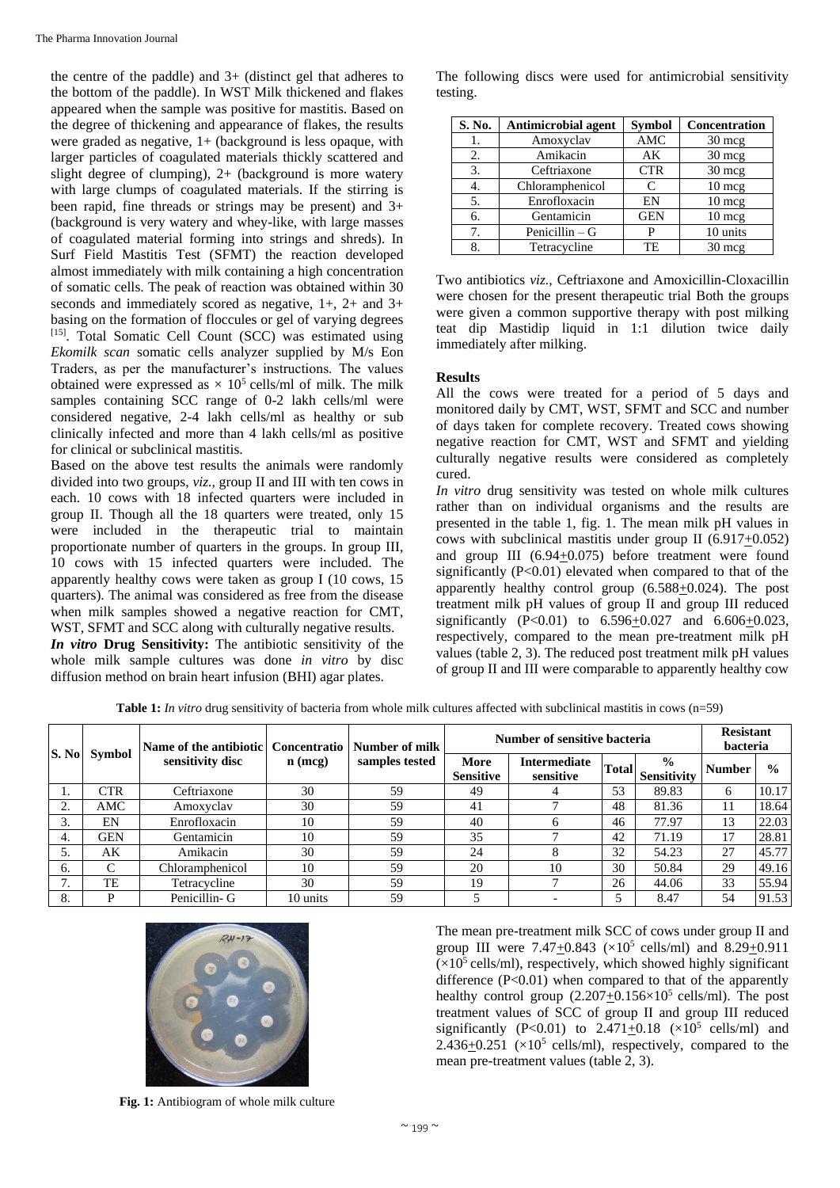the centre of the paddle) and 3+ (distinct gel that adheres to the bottom of the paddle). In WST Milk thickened and flakes appeared when the sample was positive for mastitis. Based on the degree of thickening and appearance of flakes, the results were graded as negative, 1+ (background is less opaque, with larger particles of coagulated materials thickly scattered and slight degree of clumping), 2+ (background is more watery with large clumps of coagulated materials. If the stirring is been rapid, fine threads or strings may be present) and 3+ (background is very watery and whey-like, with large masses of coagulated material forming into strings and shreds). In Surf Field Mastitis Test (SFMT) the reaction developed almost immediately with milk containing a high concentration of somatic cells. The peak of reaction was obtained within 30 seconds and immediately scored as negative, 1+, 2+ and 3+ basing on the formation of floccules or gel of varying degrees [15]. Total Somatic Cell Count (SCC) was estimated using *Ekomilk scan* somatic cells analyzer supplied by M/s Eon Traders, as per the manufacturer's instructions. The values obtained were expressed as  $\times$  10<sup>5</sup> cells/ml of milk. The milk samples containing SCC range of 0-2 lakh cells/ml were considered negative, 2-4 lakh cells/ml as healthy or sub clinically infected and more than 4 lakh cells/ml as positive for clinical or subclinical mastitis.

Based on the above test results the animals were randomly divided into two groups, *viz.,* group II and III with ten cows in each. 10 cows with 18 infected quarters were included in group II. Though all the 18 quarters were treated, only 15 were included in the therapeutic trial to maintain proportionate number of quarters in the groups. In group III, 10 cows with 15 infected quarters were included. The apparently healthy cows were taken as group I (10 cows, 15 quarters). The animal was considered as free from the disease when milk samples showed a negative reaction for CMT, WST, SFMT and SCC along with culturally negative results. *In vitro* **Drug Sensitivity:** The antibiotic sensitivity of the whole milk sample cultures was done *in vitro* by disc diffusion method on brain heart infusion (BHI) agar plates.

The following discs were used for antimicrobial sensitivity testing.

| S. No. | <b>Antimicrobial agent</b> | <b>Symbol</b> | Concentration    |
|--------|----------------------------|---------------|------------------|
| ı.     | Amoxyclav                  | AMC           | $30 \text{ mcg}$ |
| 2.     | Amikacin                   | AK            | $30 \text{ mcg}$ |
| 3.     | Ceftriaxone                | <b>CTR</b>    | $30 \text{ mcg}$ |
| 4.     | Chloramphenicol            | $\mathsf{C}$  | $10 \text{ mcg}$ |
| 5.     | Enrofloxacin               | EN            | 10 mcg           |
| 6.     | Gentamicin                 |               | 10 mcg           |
| 7.     | Penicillin $-G$            | P             | 10 units         |
| 8.     | Tetracycline               |               | $30 \text{ m}$   |

Two antibiotics *viz.,* Ceftriaxone and Amoxicillin-Cloxacillin were chosen for the present therapeutic trial Both the groups were given a common supportive therapy with post milking teat dip Mastidip liquid in 1:1 dilution twice daily immediately after milking.

# **Results**

All the cows were treated for a period of 5 days and monitored daily by CMT, WST, SFMT and SCC and number of days taken for complete recovery. Treated cows showing negative reaction for CMT, WST and SFMT and yielding culturally negative results were considered as completely cured.

*In vitro* drug sensitivity was tested on whole milk cultures rather than on individual organisms and the results are presented in the table 1, fig. 1. The mean milk pH values in cows with subclinical mastitis under group II (6.917+0.052) and group III  $(6.94+0.075)$  before treatment were found significantly (P<0.01) elevated when compared to that of the apparently healthy control group (6.588+0.024). The post treatment milk pH values of group II and group III reduced significantly  $(P<0.01)$  to  $6.596 \pm 0.027$  and  $6.606 \pm 0.023$ , respectively, compared to the mean pre-treatment milk pH values (table 2, 3). The reduced post treatment milk pH values of group II and III were comparable to apparently healthy cow

**Table 1:** *In vitro* drug sensitivity of bacteria from whole milk cultures affected with subclinical mastitis in cows (n=59)

|              |            | Name of the antibiotic | Concentratio | Number of milk<br>samples tested | Number of sensitive bacteria |                           |              |                                     | <b>Resistant</b><br>bacteria |               |
|--------------|------------|------------------------|--------------|----------------------------------|------------------------------|---------------------------|--------------|-------------------------------------|------------------------------|---------------|
| S. No        | Symbol     | sensitivity disc       | $n$ (mcg)    |                                  | More<br><b>Sensitive</b>     | Intermediate<br>sensitive | <b>Total</b> | $\frac{0}{0}$<br><b>Sensitivity</b> | <b>Number</b>                | $\frac{0}{0}$ |
|              | <b>CTR</b> | Ceftriaxone            | 30           | 59                               | 49                           |                           | 53           | 89.83                               | 6                            | 10.17         |
| 2.           | AMC        | Amoxyclav              | 30           | 59                               | 41                           |                           | 48           | 81.36                               | 11                           | 18.64         |
| 3.           | EN         | Enrofloxacin           | 10           | 59                               | 40                           |                           | 46           | 77.97                               | 13                           | 22.03         |
| 4.           | <b>GEN</b> | Gentamicin             | 10           | 59                               | 35                           |                           | 42           | 71.19                               | 17                           | 28.81         |
| 5.           | АK         | Amikacin               | 30           | 59                               | 24                           |                           | 32           | 54.23                               | 27                           | 45.77         |
| 6.           | C          | Chloramphenicol        | 10           | 59                               | 20                           | 10                        | 30           | 50.84                               | 29                           | 49.16         |
| $\mathbf{r}$ | TE         | Tetracycline           | 30           | 59                               | 19                           |                           | 26           | 44.06                               | 33                           | 55.94         |
| 8.           | D          | Penicillin- G          | 10 units     | 59                               |                              |                           |              | 8.47                                | 54                           | 91.53         |



The mean pre-treatment milk SCC of cows under group II and group III were  $7.47 \pm 0.843$  ( $\times 10^5$  cells/ml) and  $8.29 \pm 0.911$  $(x10^5 \text{ cells/ml})$ , respectively, which showed highly significant difference  $(P<0.01)$  when compared to that of the apparently healthy control group  $(2.207 \pm 0.156 \times 10^5 \text{ cells/ml})$ . The post treatment values of SCC of group II and group III reduced significantly  $(P<0.01)$  to 2.471+0.18  $(\times 10^5 \text{ cells/ml})$  and 2.436 $\pm$ 0.251 ( $\times$ 10<sup>5</sup> cells/ml), respectively, compared to the mean pre-treatment values (table 2, 3).

**Fig. 1:** Antibiogram of whole milk culture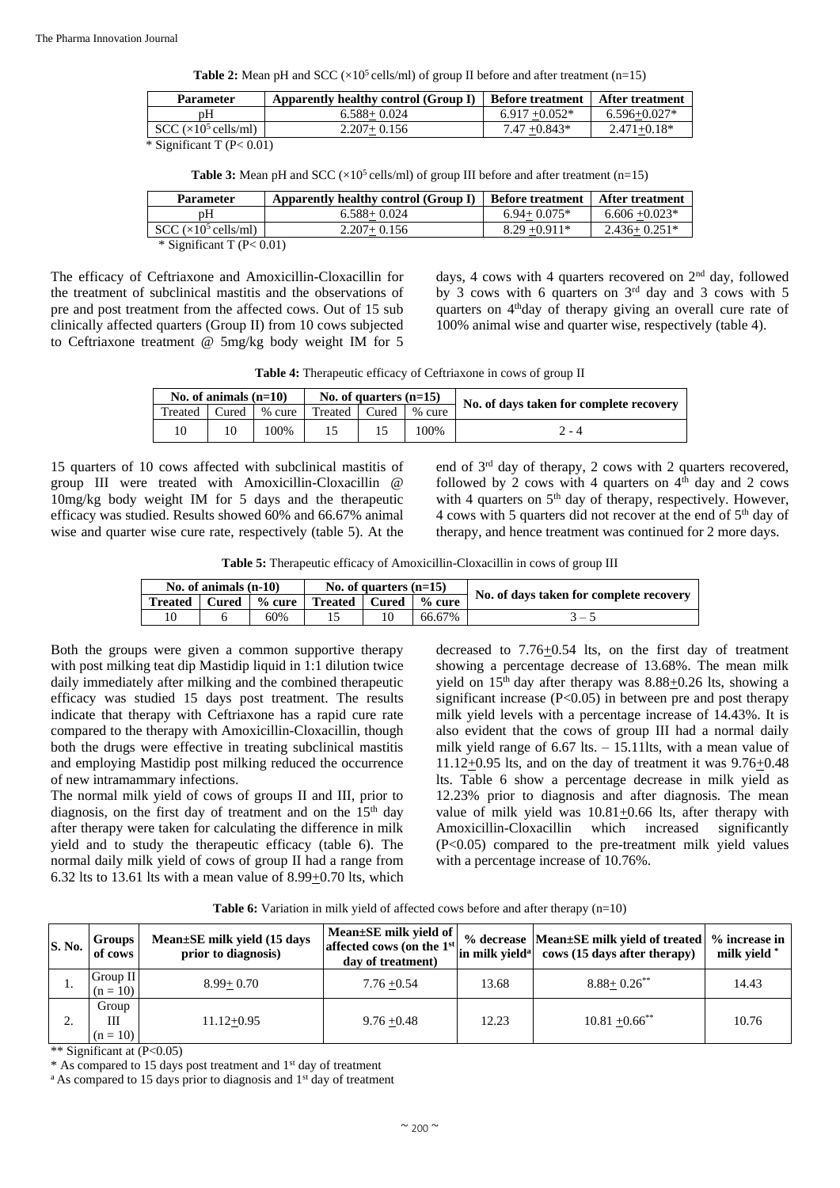**Table 2:** Mean pH and SCC ( $\times$ 10<sup>5</sup> cells/ml) of group II before and after treatment (n=15)

| <b>Parameter</b>            | Apparently healthy control (Group I) | <b>Before treatment   After treatment</b> |                  |
|-----------------------------|--------------------------------------|-------------------------------------------|------------------|
| pΗ                          | $6.588 + 0.024$                      | $6.917 + 0.052*$                          | $6.596 + 0.027*$ |
| $SCC \times 10^5$ cells/ml) | $2.207 + 0.156$                      | $7.47 + 0.843*$                           | $2.471 + 0.18*$  |

\* Significant T (P< 0.01)

| Parameter                      | Apparently healthy control (Group I) | <b>Before treatment</b> | After treatment  |  |  |  |  |
|--------------------------------|--------------------------------------|-------------------------|------------------|--|--|--|--|
| pΗ                             | $6.588 + 0.024$                      | $6.94 + 0.075*$         | $6.606 + 0.023*$ |  |  |  |  |
| $SCC \times 10^5$ cells/ml)    | $2.207 + 0.156$                      | $8.29 + 0.911*$         | $2.436 + 0.251*$ |  |  |  |  |
| $\div$ Significant T (P< 0.01) |                                      |                         |                  |  |  |  |  |

The efficacy of Ceftriaxone and Amoxicillin-Cloxacillin for the treatment of subclinical mastitis and the observations of pre and post treatment from the affected cows. Out of 15 sub clinically affected quarters (Group II) from 10 cows subjected to Ceftriaxone treatment @ 5mg/kg body weight IM for 5

days, 4 cows with 4 quarters recovered on  $2<sup>nd</sup>$  day, followed by 3 cows with 6 quarters on  $3<sup>rd</sup>$  day and 3 cows with 5 quarters on 4<sup>th</sup>day of therapy giving an overall cure rate of 100% animal wise and quarter wise, respectively (table 4).

**Table 4:** Therapeutic efficacy of Ceftriaxone in cows of group II

| No. of animals $(n=10)$ |       |        |                 | No. of quarters $(n=15)$ |        |                                         |  |
|-------------------------|-------|--------|-----------------|--------------------------|--------|-----------------------------------------|--|
| Treated                 | Cured | % cure | Treated   Cured |                          | % cure | No. of days taken for complete recovery |  |
| 10                      |       | 100%   |                 |                          | 100%   | $' - 4$                                 |  |

15 quarters of 10 cows affected with subclinical mastitis of group III were treated with Amoxicillin-Cloxacillin @ 10mg/kg body weight IM for 5 days and the therapeutic efficacy was studied. Results showed 60% and 66.67% animal wise and quarter wise cure rate, respectively (table 5). At the end of 3rd day of therapy, 2 cows with 2 quarters recovered, followed by 2 cows with 4 quarters on  $4<sup>th</sup>$  day and 2 cows with 4 quarters on  $5<sup>th</sup>$  day of therapy, respectively. However, 4 cows with 5 quarters did not recover at the end of  $5<sup>th</sup>$  day of therapy, and hence treatment was continued for 2 more days.

**Table 5:** Therapeutic efficacy of Amoxicillin-Cloxacillin in cows of group III

| No. of animals $(n-10)$ |       |                      |                          | No. of quarters $(n=15)$ |        | No. of days taken for complete recovery |
|-------------------------|-------|----------------------|--------------------------|--------------------------|--------|-----------------------------------------|
| <b>Treated</b>          | Cured | $%$ cure $\parallel$ | Treated   Cured   % cure |                          |        |                                         |
| 10                      |       | 60%                  |                          | 10                       | 66.67% | ۰ –                                     |

Both the groups were given a common supportive therapy with post milking teat dip Mastidip liquid in 1:1 dilution twice daily immediately after milking and the combined therapeutic efficacy was studied 15 days post treatment. The results indicate that therapy with Ceftriaxone has a rapid cure rate compared to the therapy with Amoxicillin-Cloxacillin, though both the drugs were effective in treating subclinical mastitis and employing Mastidip post milking reduced the occurrence of new intramammary infections.

The normal milk yield of cows of groups II and III, prior to diagnosis, on the first day of treatment and on the  $15<sup>th</sup>$  day after therapy were taken for calculating the difference in milk yield and to study the therapeutic efficacy (table 6). The normal daily milk yield of cows of group II had a range from 6.32 lts to 13.61 lts with a mean value of 8.99+0.70 lts, which

decreased to 7.76+0.54 lts, on the first day of treatment showing a percentage decrease of 13.68%. The mean milk yield on  $15<sup>th</sup>$  day after therapy was  $8.88 \pm 0.26$  lts, showing a significant increase  $(P<0.05)$  in between pre and post therapy milk yield levels with a percentage increase of 14.43%. It is also evident that the cows of group III had a normal daily milk yield range of 6.67 lts. – 15.11lts, with a mean value of 11.12+0.95 lts, and on the day of treatment it was 9.76+0.48 lts. Table 6 show a percentage decrease in milk yield as 12.23% prior to diagnosis and after diagnosis. The mean value of milk yield was 10.81+0.66 lts, after therapy with Amoxicillin-Cloxacillin which increased significantly (P<0.05) compared to the pre-treatment milk yield values with a percentage increase of 10.76%.

Table 6: Variation in milk yield of affected cows before and after therapy (n=10)

| S. No. | <b>Groups</b><br>of cows | Mean $\pm$ SE milk yield (15 days<br>prior to diagnosis) | Mean $\pm$ SE milk yield of<br>affected cows (on the $1st$<br>day of treatment) | in milk vield <sup>a</sup> | % decrease  Mean±SE milk yield of treated   % increase in<br>cows (15 days after therapy) | milk vield * |
|--------|--------------------------|----------------------------------------------------------|---------------------------------------------------------------------------------|----------------------------|-------------------------------------------------------------------------------------------|--------------|
|        | Group II<br>$(n = 10)$   | $8.99 + 0.70$                                            | $7.76 + 0.54$                                                                   | 13.68                      | $8.88 + 0.26$ **                                                                          | 14.43        |
|        | Group<br>Ш<br>$(n = 10)$ | $11.12 + 0.95$                                           | $9.76 + 0.48$                                                                   | 12.23                      | $10.81 + 0.66$ <sup>**</sup>                                                              | 10.76        |

\*\* Significant at (P<0.05)

\* As compared to 15 days post treatment and 1st day of treatment

<sup>a</sup> As compared to 15 days prior to diagnosis and 1<sup>st</sup> day of treatment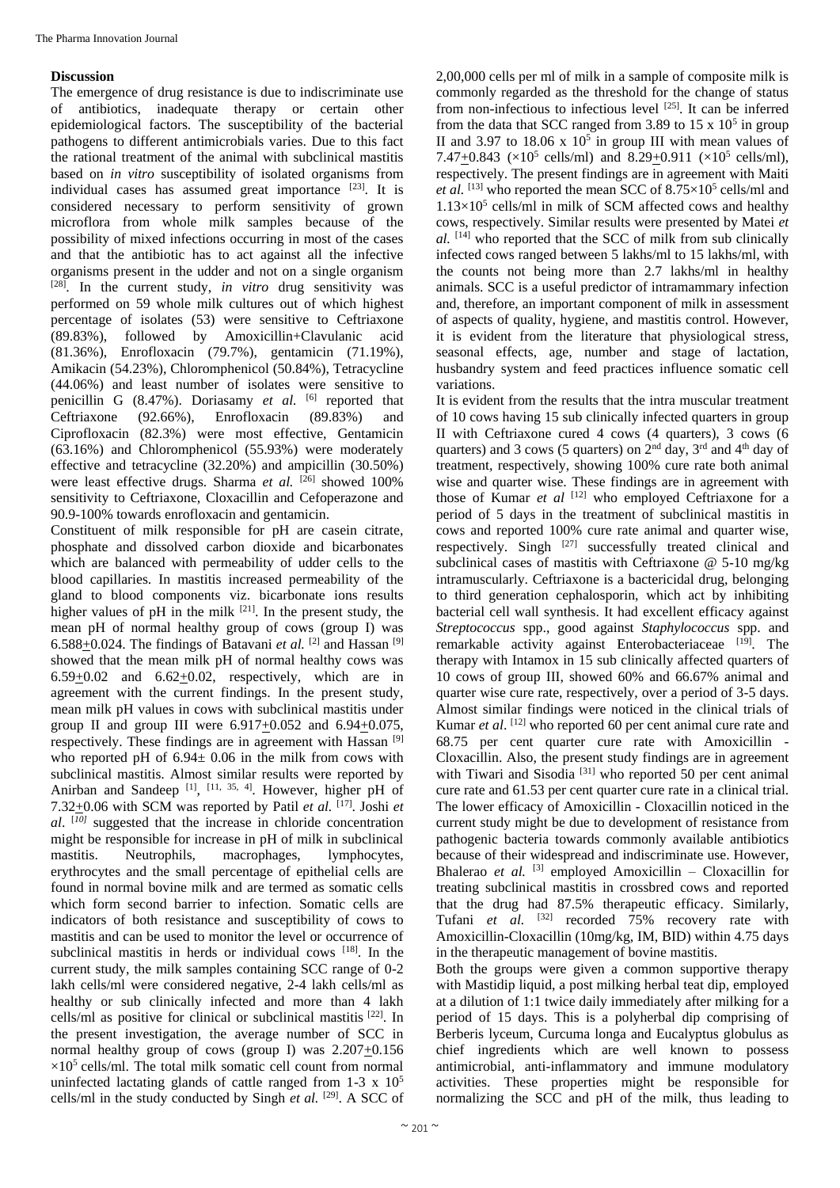### **Discussion**

The emergence of drug resistance is due to indiscriminate use of antibiotics, inadequate therapy or certain other epidemiological factors. The susceptibility of the bacterial pathogens to different antimicrobials varies. Due to this fact the rational treatment of the animal with subclinical mastitis based on *in vitro* susceptibility of isolated organisms from individual cases has assumed great importance  $[23]$ . It is considered necessary to perform sensitivity of grown microflora from whole milk samples because of the possibility of mixed infections occurring in most of the cases and that the antibiotic has to act against all the infective organisms present in the udder and not on a single organism [28]. In the current study, *in vitro* drug sensitivity was performed on 59 whole milk cultures out of which highest percentage of isolates (53) were sensitive to Ceftriaxone (89.83%), followed by Amoxicillin+Clavulanic acid (81.36%), Enrofloxacin (79.7%), gentamicin (71.19%), Amikacin (54.23%), Chloromphenicol (50.84%), Tetracycline (44.06%) and least number of isolates were sensitive to penicillin G (8.47%). Doriasamy *et al.* [6] reported that Ceftriaxone (92.66%), Enrofloxacin (89.83%) and Ciprofloxacin (82.3%) were most effective, Gentamicin (63.16%) and Chloromphenicol (55.93%) were moderately effective and tetracycline (32.20%) and ampicillin (30.50%) were least effective drugs. Sharma *et al.* <sup>[26]</sup> showed 100% sensitivity to Ceftriaxone, Cloxacillin and Cefoperazone and 90.9-100% towards enrofloxacin and gentamicin.

Constituent of milk responsible for pH are casein citrate, phosphate and dissolved carbon dioxide and bicarbonates which are balanced with permeability of udder cells to the blood capillaries. In mastitis increased permeability of the gland to blood components viz. bicarbonate ions results higher values of pH in the milk  $[21]$ . In the present study, the mean pH of normal healthy group of cows (group I) was 6.588+0.024. The findings of Batavani *et al.* <sup>[2]</sup> and Hassan <sup>[9]</sup> showed that the mean milk pH of normal healthy cows was  $6.59+0.02$  and  $6.62+0.02$ , respectively, which are in agreement with the current findings. In the present study, mean milk pH values in cows with subclinical mastitis under group II and group III were  $6.917+0.052$  and  $6.94+0.075$ , respectively. These findings are in agreement with Hassan [9] who reported pH of  $6.94 \pm 0.06$  in the milk from cows with subclinical mastitis. Almost similar results were reported by Anirban and Sandeep<sup>[1]</sup>, <sup>[11, 35, 4]</sup>. However, higher pH of 7.32 $\pm$ 0.06 with SCM was reported by Patil *et al.* [17]. Joshi *et al*. [*10]* suggested that the increase in chloride concentration might be responsible for increase in pH of milk in subclinical mastitis. Neutrophils, macrophages, lymphocytes, erythrocytes and the small percentage of epithelial cells are found in normal bovine milk and are termed as somatic cells which form second barrier to infection. Somatic cells are indicators of both resistance and susceptibility of cows to mastitis and can be used to monitor the level or occurrence of subclinical mastitis in herds or individual cows [18]. In the current study, the milk samples containing SCC range of 0-2 lakh cells/ml were considered negative, 2-4 lakh cells/ml as healthy or sub clinically infected and more than 4 lakh cells/ml as positive for clinical or subclinical mastitis [22]. In the present investigation, the average number of SCC in normal healthy group of cows (group I) was 2.207+0.156  $\times 10^5$  cells/ml. The total milk somatic cell count from normal uninfected lactating glands of cattle ranged from 1-3 x 10<sup>5</sup> cells/ml in the study conducted by Singh *et al.* <sup>[29]</sup>. A SCC of 2,00,000 cells per ml of milk in a sample of composite milk is commonly regarded as the threshold for the change of status from non-infectious to infectious level [25]. It can be inferred from the data that SCC ranged from 3.89 to 15  $\times$  10<sup>5</sup> in group II and 3.97 to  $18.06 \times 10^5$  in group III with mean values of 7.47 $\pm$ 0.843 ( $\times$ 10<sup>5</sup> cells/ml) and 8.29 $\pm$ 0.911 ( $\times$ 10<sup>5</sup> cells/ml), respectively. The present findings are in agreement with Maiti et al. <sup>[13]</sup> who reported the mean SCC of 8.75×10<sup>5</sup> cells/ml and  $1.13\times10^5$  cells/ml in milk of SCM affected cows and healthy cows, respectively. Similar results were presented by Matei *et al.* [14] who reported that the SCC of milk from sub clinically infected cows ranged between 5 lakhs/ml to 15 lakhs/ml, with the counts not being more than 2.7 lakhs/ml in healthy animals. SCC is a useful predictor of intramammary infection and, therefore, an important component of milk in assessment of aspects of quality, hygiene, and mastitis control. However, it is evident from the literature that physiological stress, seasonal effects, age, number and stage of lactation, husbandry system and feed practices influence somatic cell variations.

It is evident from the results that the intra muscular treatment of 10 cows having 15 sub clinically infected quarters in group II with Ceftriaxone cured 4 cows (4 quarters), 3 cows (6 quarters) and 3 cows (5 quarters) on  $2<sup>nd</sup>$  day,  $3<sup>rd</sup>$  and  $4<sup>th</sup>$  day of treatment, respectively, showing 100% cure rate both animal wise and quarter wise. These findings are in agreement with those of Kumar *et al* [12] who employed Ceftriaxone for a period of 5 days in the treatment of subclinical mastitis in cows and reported 100% cure rate animal and quarter wise, respectively. Singh [27] successfully treated clinical and subclinical cases of mastitis with Ceftriaxone @ 5-10 mg/kg intramuscularly. Ceftriaxone is a bactericidal drug, belonging to third generation cephalosporin, which act by inhibiting bacterial cell wall synthesis. It had excellent efficacy against *Streptococcus* spp., good against *Staphylococcus* spp. and remarkable activity against Enterobacteriaceae [19]. The therapy with Intamox in 15 sub clinically affected quarters of 10 cows of group III, showed 60% and 66.67% animal and quarter wise cure rate, respectively, over a period of 3-5 days. Almost similar findings were noticed in the clinical trials of Kumar *et al*. [12] who reported 60 per cent animal cure rate and 68.75 per cent quarter cure rate with Amoxicillin - Cloxacillin. Also, the present study findings are in agreement with Tiwari and Sisodia<sup>[31]</sup> who reported 50 per cent animal cure rate and 61.53 per cent quarter cure rate in a clinical trial. The lower efficacy of Amoxicillin - Cloxacillin noticed in the current study might be due to development of resistance from pathogenic bacteria towards commonly available antibiotics because of their widespread and indiscriminate use. However, Bhalerao et al. <sup>[3]</sup> employed Amoxicillin – Cloxacillin for treating subclinical mastitis in crossbred cows and reported that the drug had 87.5% therapeutic efficacy. Similarly, Tufani et al. <sup>[32]</sup> recorded 75% recovery rate with Amoxicillin-Cloxacillin (10mg/kg, IM, BID) within 4.75 days in the therapeutic management of bovine mastitis.

Both the groups were given a common supportive therapy with Mastidip liquid, a post milking herbal teat dip, employed at a dilution of 1:1 twice daily immediately after milking for a period of 15 days. This is a polyherbal dip comprising of Berberis lyceum, Curcuma longa and Eucalyptus globulus as chief ingredients which are well known to possess antimicrobial, anti-inflammatory and immune modulatory activities. These properties might be responsible for normalizing the SCC and pH of the milk, thus leading to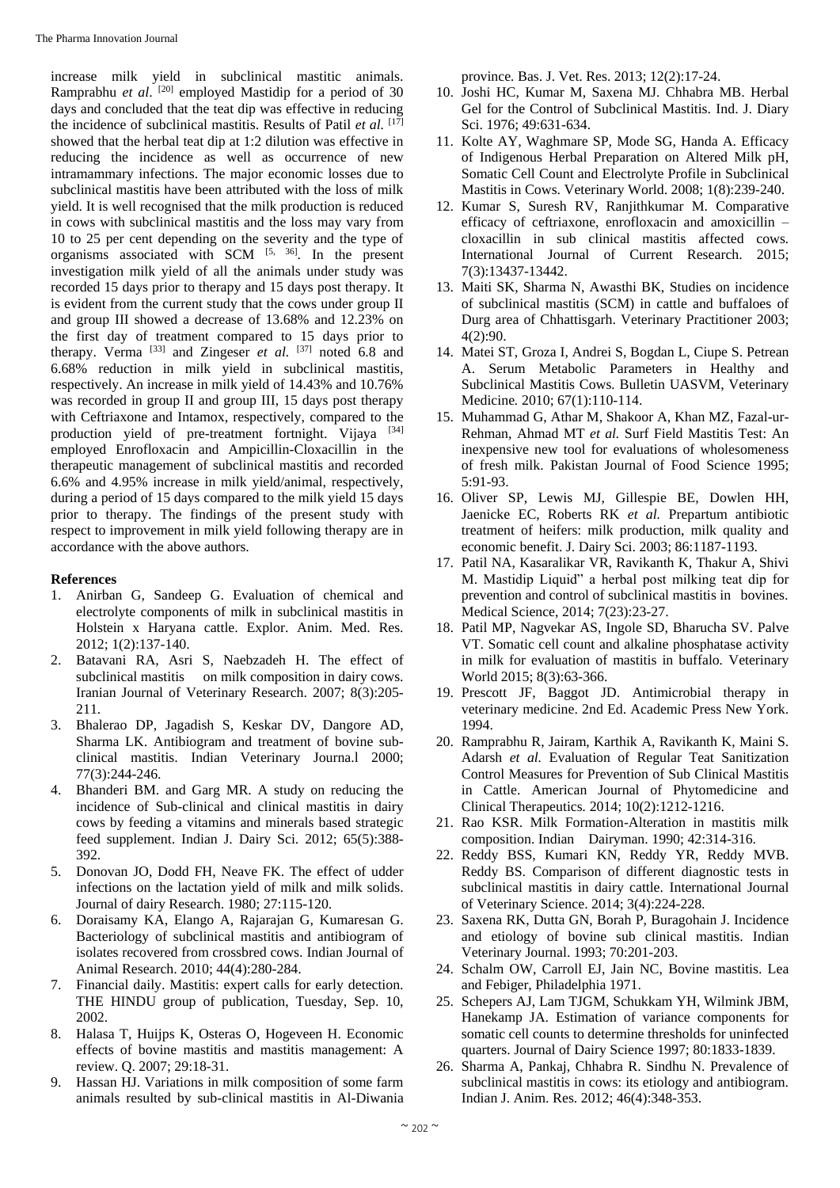increase milk yield in subclinical mastitic animals. Ramprabhu *et al*. [20] employed Mastidip for a period of 30 days and concluded that the teat dip was effective in reducing the incidence of subclinical mastitis. Results of Patil *et al.* [17] showed that the herbal teat dip at 1:2 dilution was effective in reducing the incidence as well as occurrence of new intramammary infections. The major economic losses due to subclinical mastitis have been attributed with the loss of milk yield. It is well recognised that the milk production is reduced in cows with subclinical mastitis and the loss may vary from 10 to 25 per cent depending on the severity and the type of organisms associated with SCM  $[5, 36]$ . In the present investigation milk yield of all the animals under study was recorded 15 days prior to therapy and 15 days post therapy. It is evident from the current study that the cows under group II and group III showed a decrease of 13.68% and 12.23% on the first day of treatment compared to 15 days prior to therapy. Verma  $^{[33]}$  and Zingeser *et al.*  $^{[37]}$  noted 6.8 and 6.68% reduction in milk yield in subclinical mastitis, respectively. An increase in milk yield of 14.43% and 10.76% was recorded in group II and group III, 15 days post therapy with Ceftriaxone and Intamox, respectively, compared to the production yield of pre-treatment fortnight. Vijaya [34] employed Enrofloxacin and Ampicillin-Cloxacillin in the therapeutic management of subclinical mastitis and recorded 6.6% and 4.95% increase in milk yield/animal, respectively, during a period of 15 days compared to the milk yield 15 days prior to therapy. The findings of the present study with respect to improvement in milk yield following therapy are in accordance with the above authors.

## **References**

- 1. Anirban G, Sandeep G. Evaluation of chemical and electrolyte components of milk in subclinical mastitis in Holstein x Haryana cattle. Explor. Anim. Med. Res. 2012; 1(2):137-140.
- 2. Batavani RA, Asri S, Naebzadeh H. The effect of subclinical mastitis on milk composition in dairy cows. Iranian Journal of Veterinary Research. 2007; 8(3):205- 211.
- 3. Bhalerao DP, Jagadish S, Keskar DV, Dangore AD, Sharma LK. Antibiogram and treatment of bovine subclinical mastitis. Indian Veterinary Journa.l 2000; 77(3):244-246.
- 4. Bhanderi BM. and Garg MR. A study on reducing the incidence of Sub-clinical and clinical mastitis in dairy cows by feeding a vitamins and minerals based strategic feed supplement. Indian J. Dairy Sci. 2012; 65(5):388- 392.
- 5. Donovan JO, Dodd FH, Neave FK. The effect of udder infections on the lactation yield of milk and milk solids. Journal of dairy Research. 1980; 27:115-120.
- 6. Doraisamy KA, Elango A, Rajarajan G, Kumaresan G. Bacteriology of subclinical mastitis and antibiogram of isolates recovered from crossbred cows. Indian Journal of Animal Research. 2010; 44(4):280-284.
- 7. Financial daily. Mastitis: expert calls for early detection. THE HINDU group of publication, Tuesday, Sep. 10, 2002.
- 8. Halasa T, Huijps K, Osteras O, Hogeveen H. Economic effects of bovine mastitis and mastitis management: A review. Q. 2007; 29:18-31.
- 9. Hassan HJ. Variations in milk composition of some farm animals resulted by sub-clinical mastitis in Al-Diwania

province*.* Bas. J. Vet. Res. 2013; 12(2):17-24.

- 10. Joshi HC, Kumar M, Saxena MJ. Chhabra MB. Herbal Gel for the Control of Subclinical Mastitis. Ind. J. Diary Sci. 1976; 49:631-634.
- 11. Kolte AY, Waghmare SP, Mode SG, Handa A. Efficacy of Indigenous Herbal Preparation on Altered Milk pH, Somatic Cell Count and Electrolyte Profile in Subclinical Mastitis in Cows. Veterinary World. 2008; 1(8):239-240.
- 12. Kumar S, Suresh RV, Ranjithkumar M. Comparative efficacy of ceftriaxone, enrofloxacin and amoxicillin – cloxacillin in sub clinical mastitis affected cows*.*  International Journal of Current Research. 2015; 7(3):13437-13442.
- 13. Maiti SK, Sharma N, Awasthi BK, Studies on incidence of subclinical mastitis (SCM) in cattle and buffaloes of Durg area of Chhattisgarh. Veterinary Practitioner 2003; 4(2):90.
- 14. Matei ST, Groza I, Andrei S, Bogdan L, Ciupe S. Petrean A. Serum Metabolic Parameters in Healthy and Subclinical Mastitis Cows*.* Bulletin UASVM, Veterinary Medicine*.* 2010; 67(1):110-114.
- 15. Muhammad G, Athar M, Shakoor A, Khan MZ, Fazal-ur-Rehman, Ahmad MT *et al.* Surf Field Mastitis Test: An inexpensive new tool for evaluations of wholesomeness of fresh milk. Pakistan Journal of Food Science 1995; 5:91-93.
- 16. Oliver SP, Lewis MJ, Gillespie BE, Dowlen HH, Jaenicke EC, Roberts RK *et al.* Prepartum antibiotic treatment of heifers: milk production, milk quality and economic benefit. J. Dairy Sci. 2003; 86:1187-1193.
- 17. Patil NA, Kasaralikar VR, Ravikanth K, Thakur A, Shivi M. Mastidip Liquid" a herbal post milking teat dip for prevention and control of subclinical mastitis in bovines. Medical Science, 2014; 7(23):23-27.
- 18. Patil MP, Nagvekar AS, Ingole SD, Bharucha SV. Palve VT. Somatic cell count and alkaline phosphatase activity in milk for evaluation of mastitis in buffalo*.* Veterinary World 2015; 8(3):63-366.
- 19. Prescott JF, Baggot JD. Antimicrobial therapy in veterinary medicine. 2nd Ed. Academic Press New York. 1994.
- 20. Ramprabhu R, Jairam, Karthik A, Ravikanth K, Maini S. Adarsh *et al.* Evaluation of Regular Teat Sanitization Control Measures for Prevention of Sub Clinical Mastitis in Cattle. American Journal of Phytomedicine and Clinical Therapeutics*.* 2014; 10(2):1212-1216.
- 21. Rao KSR. Milk Formation-Alteration in mastitis milk composition. Indian Dairyman. 1990; 42:314-316.
- 22. Reddy BSS, Kumari KN, Reddy YR, Reddy MVB. Reddy BS. Comparison of different diagnostic tests in subclinical mastitis in dairy cattle. International Journal of Veterinary Science. 2014; 3(4):224-228.
- 23. Saxena RK, Dutta GN, Borah P, Buragohain J. Incidence and etiology of bovine sub clinical mastitis. Indian Veterinary Journal. 1993; 70:201-203.
- 24. Schalm OW, Carroll EJ, Jain NC, Bovine mastitis. Lea and Febiger, Philadelphia 1971.
- 25. Schepers AJ, Lam TJGM, Schukkam YH, Wilmink JBM, Hanekamp JA. Estimation of variance components for somatic cell counts to determine thresholds for uninfected quarters. Journal of Dairy Science 1997; 80:1833-1839.
- 26. Sharma A, Pankaj, Chhabra R. Sindhu N. Prevalence of subclinical mastitis in cows: its etiology and antibiogram. Indian J. Anim. Res. 2012; 46(4):348-353.